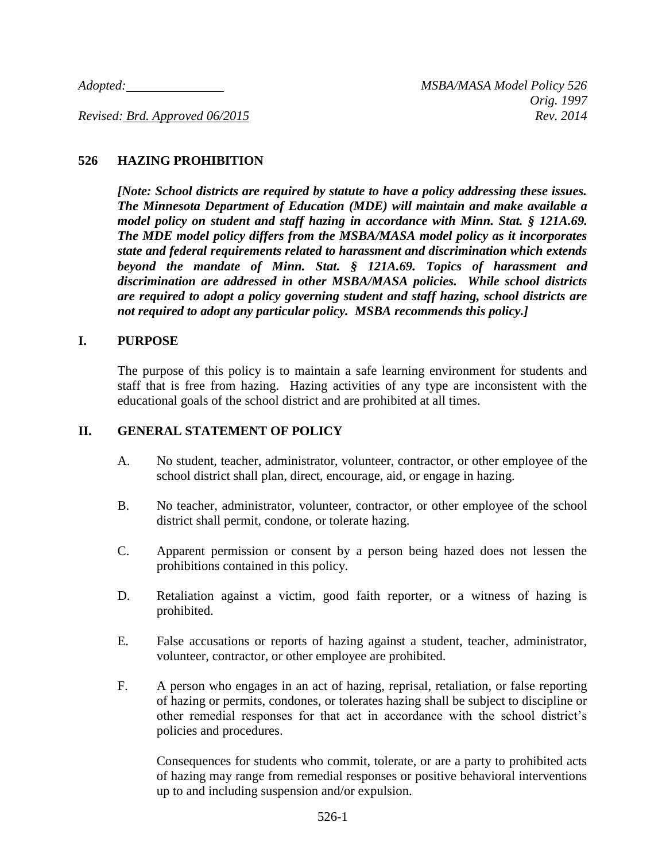*Adopted: MSBA/MASA Model Policy 526*

*Revised: Brd. Approved 06/2015 Rev. 2014*

### **526 HAZING PROHIBITION**

*[Note: School districts are required by statute to have a policy addressing these issues. The Minnesota Department of Education (MDE) will maintain and make available a model policy on student and staff hazing in accordance with Minn. Stat. § 121A.69. The MDE model policy differs from the MSBA/MASA model policy as it incorporates state and federal requirements related to harassment and discrimination which extends beyond the mandate of Minn. Stat. § 121A.69. Topics of harassment and discrimination are addressed in other MSBA/MASA policies. While school districts are required to adopt a policy governing student and staff hazing, school districts are not required to adopt any particular policy. MSBA recommends this policy.]*

### **I. PURPOSE**

The purpose of this policy is to maintain a safe learning environment for students and staff that is free from hazing. Hazing activities of any type are inconsistent with the educational goals of the school district and are prohibited at all times.

### **II. GENERAL STATEMENT OF POLICY**

- A. No student, teacher, administrator, volunteer, contractor, or other employee of the school district shall plan, direct, encourage, aid, or engage in hazing.
- B. No teacher, administrator, volunteer, contractor, or other employee of the school district shall permit, condone, or tolerate hazing.
- C. Apparent permission or consent by a person being hazed does not lessen the prohibitions contained in this policy.
- D. Retaliation against a victim, good faith reporter, or a witness of hazing is prohibited.
- E. False accusations or reports of hazing against a student, teacher, administrator, volunteer, contractor, or other employee are prohibited.
- F. A person who engages in an act of hazing, reprisal, retaliation, or false reporting of hazing or permits, condones, or tolerates hazing shall be subject to discipline or other remedial responses for that act in accordance with the school district's policies and procedures.

Consequences for students who commit, tolerate, or are a party to prohibited acts of hazing may range from remedial responses or positive behavioral interventions up to and including suspension and/or expulsion.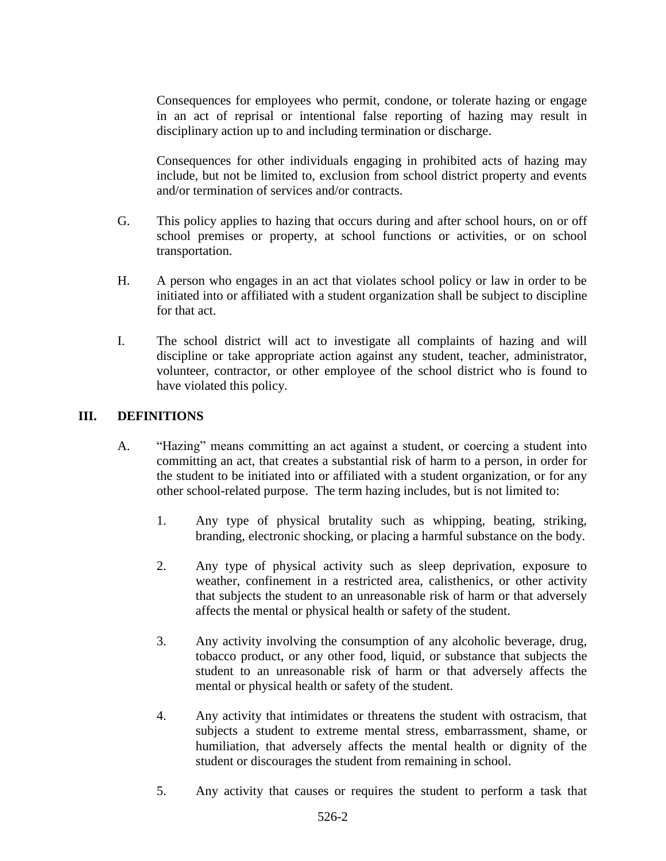Consequences for employees who permit, condone, or tolerate hazing or engage in an act of reprisal or intentional false reporting of hazing may result in disciplinary action up to and including termination or discharge.

Consequences for other individuals engaging in prohibited acts of hazing may include, but not be limited to, exclusion from school district property and events and/or termination of services and/or contracts.

- G. This policy applies to hazing that occurs during and after school hours, on or off school premises or property, at school functions or activities, or on school transportation.
- H. A person who engages in an act that violates school policy or law in order to be initiated into or affiliated with a student organization shall be subject to discipline for that act.
- I. The school district will act to investigate all complaints of hazing and will discipline or take appropriate action against any student, teacher, administrator, volunteer, contractor, or other employee of the school district who is found to have violated this policy.

# **III. DEFINITIONS**

- A. "Hazing" means committing an act against a student, or coercing a student into committing an act, that creates a substantial risk of harm to a person, in order for the student to be initiated into or affiliated with a student organization, or for any other school-related purpose. The term hazing includes, but is not limited to:
	- 1. Any type of physical brutality such as whipping, beating, striking, branding, electronic shocking, or placing a harmful substance on the body.
	- 2. Any type of physical activity such as sleep deprivation, exposure to weather, confinement in a restricted area, calisthenics, or other activity that subjects the student to an unreasonable risk of harm or that adversely affects the mental or physical health or safety of the student.
	- 3. Any activity involving the consumption of any alcoholic beverage, drug, tobacco product, or any other food, liquid, or substance that subjects the student to an unreasonable risk of harm or that adversely affects the mental or physical health or safety of the student.
	- 4. Any activity that intimidates or threatens the student with ostracism, that subjects a student to extreme mental stress, embarrassment, shame, or humiliation, that adversely affects the mental health or dignity of the student or discourages the student from remaining in school.
	- 5. Any activity that causes or requires the student to perform a task that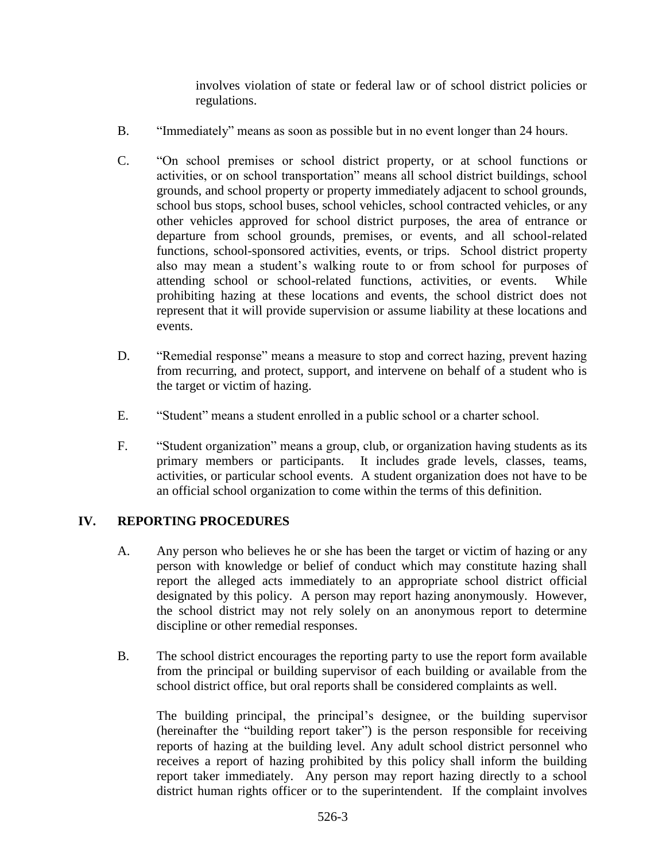involves violation of state or federal law or of school district policies or regulations.

- B. "Immediately" means as soon as possible but in no event longer than 24 hours.
- C. "On school premises or school district property, or at school functions or activities, or on school transportation" means all school district buildings, school grounds, and school property or property immediately adjacent to school grounds, school bus stops, school buses, school vehicles, school contracted vehicles, or any other vehicles approved for school district purposes, the area of entrance or departure from school grounds, premises, or events, and all school-related functions, school-sponsored activities, events, or trips. School district property also may mean a student's walking route to or from school for purposes of attending school or school-related functions, activities, or events. While prohibiting hazing at these locations and events, the school district does not represent that it will provide supervision or assume liability at these locations and events.
- D. "Remedial response" means a measure to stop and correct hazing, prevent hazing from recurring, and protect, support, and intervene on behalf of a student who is the target or victim of hazing.
- E. "Student" means a student enrolled in a public school or a charter school.
- F. "Student organization" means a group, club, or organization having students as its primary members or participants. It includes grade levels, classes, teams, activities, or particular school events. A student organization does not have to be an official school organization to come within the terms of this definition.

# **IV. REPORTING PROCEDURES**

- A. Any person who believes he or she has been the target or victim of hazing or any person with knowledge or belief of conduct which may constitute hazing shall report the alleged acts immediately to an appropriate school district official designated by this policy. A person may report hazing anonymously. However, the school district may not rely solely on an anonymous report to determine discipline or other remedial responses.
- B. The school district encourages the reporting party to use the report form available from the principal or building supervisor of each building or available from the school district office, but oral reports shall be considered complaints as well.

The building principal, the principal's designee, or the building supervisor (hereinafter the "building report taker") is the person responsible for receiving reports of hazing at the building level. Any adult school district personnel who receives a report of hazing prohibited by this policy shall inform the building report taker immediately. Any person may report hazing directly to a school district human rights officer or to the superintendent. If the complaint involves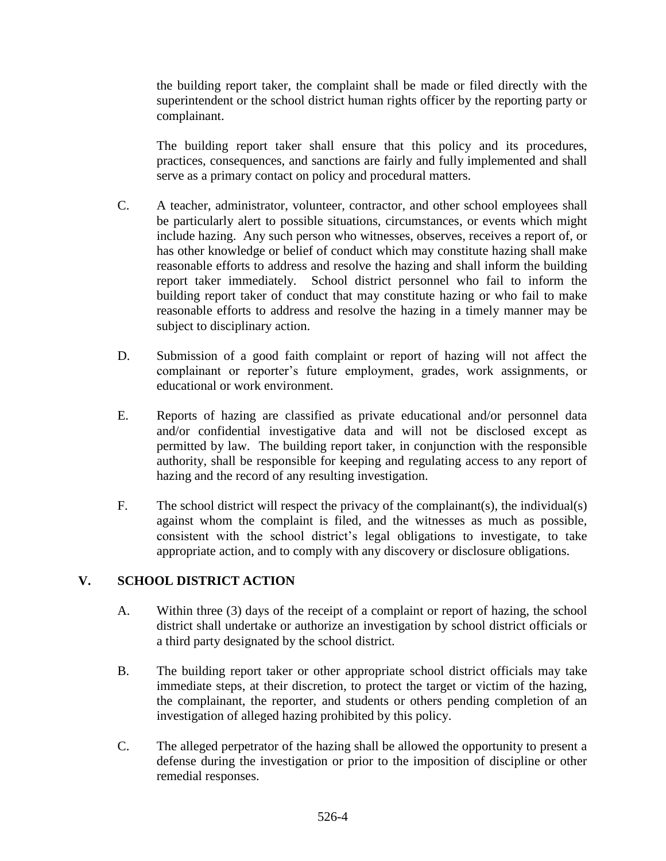the building report taker, the complaint shall be made or filed directly with the superintendent or the school district human rights officer by the reporting party or complainant.

The building report taker shall ensure that this policy and its procedures, practices, consequences, and sanctions are fairly and fully implemented and shall serve as a primary contact on policy and procedural matters.

- C. A teacher, administrator, volunteer, contractor, and other school employees shall be particularly alert to possible situations, circumstances, or events which might include hazing. Any such person who witnesses, observes, receives a report of, or has other knowledge or belief of conduct which may constitute hazing shall make reasonable efforts to address and resolve the hazing and shall inform the building report taker immediately. School district personnel who fail to inform the building report taker of conduct that may constitute hazing or who fail to make reasonable efforts to address and resolve the hazing in a timely manner may be subject to disciplinary action.
- D. Submission of a good faith complaint or report of hazing will not affect the complainant or reporter's future employment, grades, work assignments, or educational or work environment.
- E. Reports of hazing are classified as private educational and/or personnel data and/or confidential investigative data and will not be disclosed except as permitted by law. The building report taker, in conjunction with the responsible authority, shall be responsible for keeping and regulating access to any report of hazing and the record of any resulting investigation.
- F. The school district will respect the privacy of the complainant(s), the individual(s) against whom the complaint is filed, and the witnesses as much as possible, consistent with the school district's legal obligations to investigate, to take appropriate action, and to comply with any discovery or disclosure obligations.

# **V. SCHOOL DISTRICT ACTION**

- A. Within three (3) days of the receipt of a complaint or report of hazing, the school district shall undertake or authorize an investigation by school district officials or a third party designated by the school district.
- B. The building report taker or other appropriate school district officials may take immediate steps, at their discretion, to protect the target or victim of the hazing, the complainant, the reporter, and students or others pending completion of an investigation of alleged hazing prohibited by this policy.
- C. The alleged perpetrator of the hazing shall be allowed the opportunity to present a defense during the investigation or prior to the imposition of discipline or other remedial responses.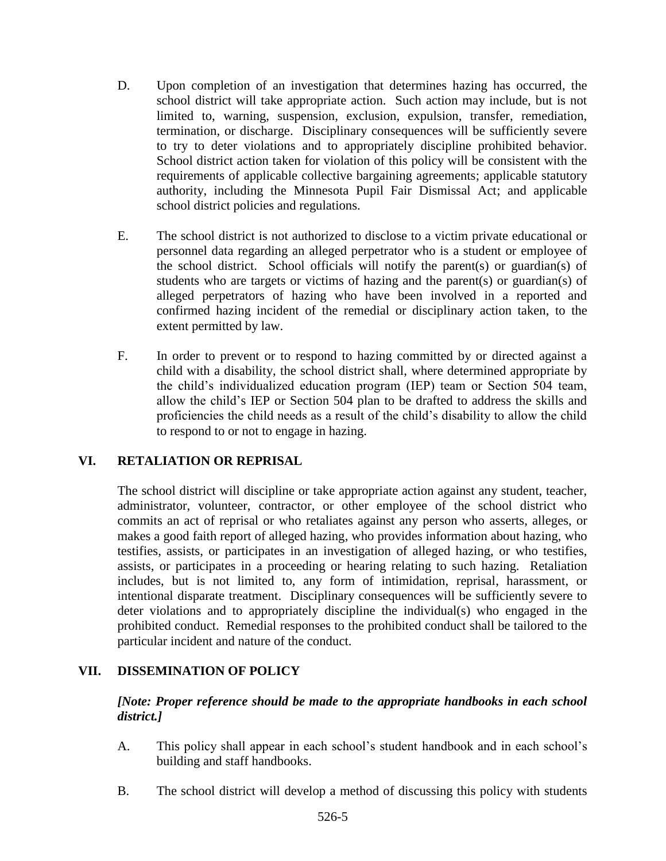- D. Upon completion of an investigation that determines hazing has occurred, the school district will take appropriate action. Such action may include, but is not limited to, warning, suspension, exclusion, expulsion, transfer, remediation, termination, or discharge. Disciplinary consequences will be sufficiently severe to try to deter violations and to appropriately discipline prohibited behavior. School district action taken for violation of this policy will be consistent with the requirements of applicable collective bargaining agreements; applicable statutory authority, including the Minnesota Pupil Fair Dismissal Act; and applicable school district policies and regulations.
- E. The school district is not authorized to disclose to a victim private educational or personnel data regarding an alleged perpetrator who is a student or employee of the school district. School officials will notify the parent(s) or guardian(s) of students who are targets or victims of hazing and the parent(s) or guardian(s) of alleged perpetrators of hazing who have been involved in a reported and confirmed hazing incident of the remedial or disciplinary action taken, to the extent permitted by law.
- F. In order to prevent or to respond to hazing committed by or directed against a child with a disability, the school district shall, where determined appropriate by the child's individualized education program (IEP) team or Section 504 team, allow the child's IEP or Section 504 plan to be drafted to address the skills and proficiencies the child needs as a result of the child's disability to allow the child to respond to or not to engage in hazing.

# **VI. RETALIATION OR REPRISAL**

The school district will discipline or take appropriate action against any student, teacher, administrator, volunteer, contractor, or other employee of the school district who commits an act of reprisal or who retaliates against any person who asserts, alleges, or makes a good faith report of alleged hazing, who provides information about hazing, who testifies, assists, or participates in an investigation of alleged hazing, or who testifies, assists, or participates in a proceeding or hearing relating to such hazing. Retaliation includes, but is not limited to, any form of intimidation, reprisal, harassment, or intentional disparate treatment. Disciplinary consequences will be sufficiently severe to deter violations and to appropriately discipline the individual(s) who engaged in the prohibited conduct. Remedial responses to the prohibited conduct shall be tailored to the particular incident and nature of the conduct.

# **VII. DISSEMINATION OF POLICY**

*[Note: Proper reference should be made to the appropriate handbooks in each school district.]*

- A. This policy shall appear in each school's student handbook and in each school's building and staff handbooks.
- B. The school district will develop a method of discussing this policy with students